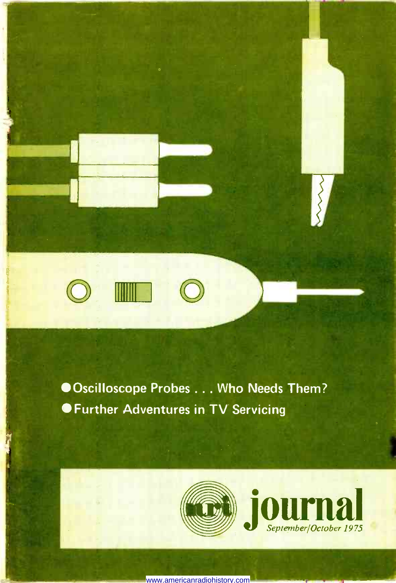

Oscilloscope Probes ... Who Needs Them? Further Adventures in TV Servicing





www.americanradiohistory.com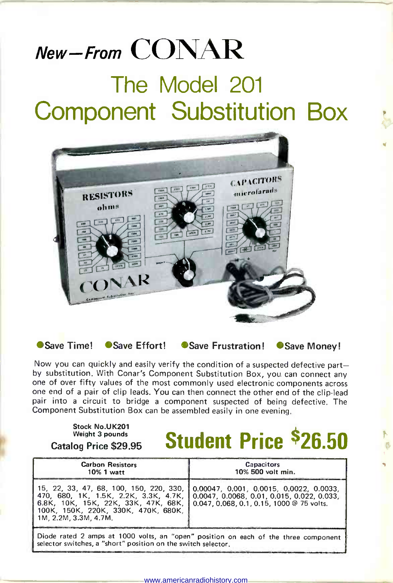# New  $-$  From  $\text{CONAR}$

## The Model 201 Component Substitution Box



● Save Time! ● Save Effort! ● Save Frustration! ● Save Money!

Now you can quickly and easily verify the condition of a suspected defective partby substitution. With Conar's Component Substitution Box, you can connect any one of over fifty values of the most commonly used electronic components across one end of a pair of clip leads. You can then connect the other end of the clip -lead pair into a circuit to bridge a component suspected of being defective. The Component Substitution Box can be assembled easily in one evening.

Stock No.UK201 Weight 3 pounds

# $\frac{1}{\frac{1}{\frac{1}{\frac{1}{\sqrt{1}}}}\frac{1}{\frac{1}{\sqrt{1}}}}$  Catalog Price \$29.95 Student Price \$26.50

| <b>Carbon Resistors</b><br>10% 1 watt                                                                                                                                                                                              | <b>Capacitors</b><br>10% 500 volt min.                                          |
|------------------------------------------------------------------------------------------------------------------------------------------------------------------------------------------------------------------------------------|---------------------------------------------------------------------------------|
| 470, 680, 1K, 1.5K, 2.2K, 3.3K, 4.7K, 0.0047, 0.0068, 0.01, 0.015, 0.022, 0.033,<br>6.8K, 10K, 15K, 22K, 33K, 47K, 68K, 10.047, 0.068, 0.1, 0.15, 1000 @ 75 volts.<br>100K. 150K. 220K. 330K. 470K. 680K.<br>1M. 2.2M. 3.3M. 4.7M. | 15, 22, 33, 47, 68, 100, 150, 220, 330, 0.00047, 0.001, 0.0015, 0.0022, 0.0033, |
| Diode rated 2 amps at 1000 volts, an "open" position on each of the three component<br>selector switches, a "short" position on the switch selector.                                                                               |                                                                                 |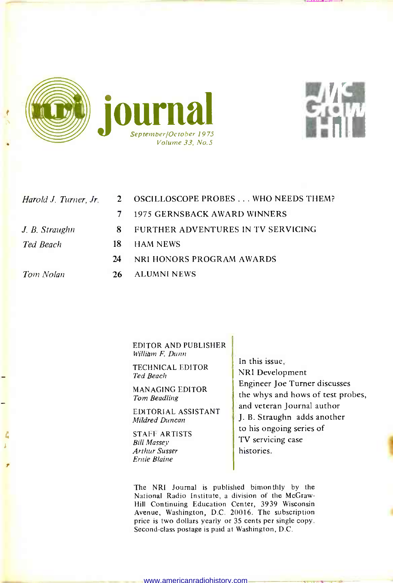



| Harold J. Turner, Jr. | $\mathbf{2}$ | OSCILLOSCOPE PROBES WHO NEEDS THEM? |
|-----------------------|--------------|-------------------------------------|
|                       | 7            | 1975 GERNSBACK AWARD WINNERS        |
| J. B. Straughn        | 8            | FURTHER ADVENTURES IN TV SERVICING  |
| Ted Beach             | 18.          | <b>HAM NEWS</b>                     |
|                       | 24           | NRI HONORS PROGRAM AWARDS           |
| Tom Nolan             | 26           | <b>ALUMNI NEWS</b>                  |

EDITOR AND PUBLISHER William F. Dunn

TECHNICAL EDITOR Ted Beach

MANAGING EDITOR Tom Beadling

EDITORIAL ASSISTANT Mildred Duncan

STAFF ARTISTS Bill Massey Arthur Susser Ernie Blaine

In this issue, NRI Development Engineer Joe Turner discusses the whys and hows of test probes, and veteran Journal author J. B. Straughn adds another to his ongoing series of TV servicing case histories.

The NRI Journal is published bimonthly by the National Radio Institute, a division of the McGraw-Hill Continuing Education Center, 3939 Wisconsin Avenue, Washington, D.C. 20016. The subscription price is two dollars yearly or 35 cents per single copy. Second-class postage is paid at Washington, D.C.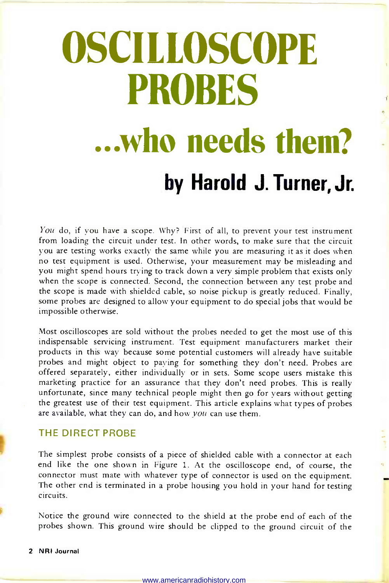# **OSCILLOSCOPE** PROBES ...who needs them? by Harold J. Turner, Jr.

You do, if you have a scope. Why? First of all, to prevent your test instrument from loading the circuit under test. In other words, to make sure that the circuit<br>you are testing works exactly the same while you are measuring it as it does when no test equipment is used. Otherwise, your measurement may be misleading and you might spend hours trying to track down a very simple problem that exists only when the scope is connected. Second, the connection between any test probe and the scope is made with shielded cable, so noise pickup is greatly reduced. Finally, some probes are designed to allow your equipment to do special jobs that would be impossible otherwise.

Most oscilloscopes are sold without the probes needed to get the most use of this indispensable servicing instrument. Test equipment manufacturers market their products in this way because some potential customers will already have suitable probes and might object to paying for something they don't need. Probes are offered separately, either individually or in sets. Some scope users mistake this marketing practice for an assurance that they don't need probes. This is really unfortunate, since many technical people might then go for years without getting the greatest use of their test equipment. This article explains what types of probes are available, what they can do, and how you can use them.

#### THE DIRECT PROBE

The simplest probe consists of a piece of shielded cable with a connector at each end like the one shown in Figure 1. At the oscilloscope end, of course, the connector must mate with whatever type of connector is used on the equipment. The other end is terminated in a probe housing you hold in your hand for testing circuits.

 $\sim 10^{10}$ 

Notice the ground wire connected to the shield at the probe end of each of the probes shown. This ground wire should be clipped to the ground circuit of the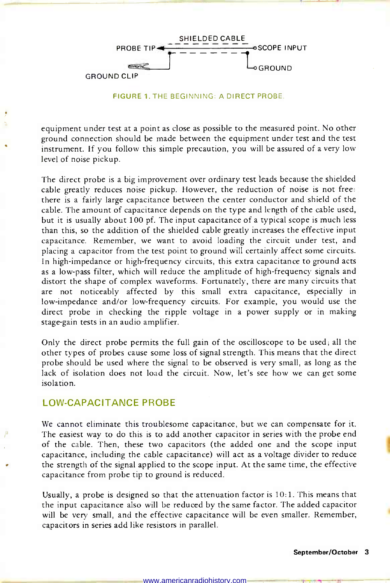

FIGURE 1. THE BEGINNING: A DIRECT PROBE.

equipment under test at a point as close as possible to the measured point. No other ground connection should be made between the equipment under test and the test instrument. If you follow this simple precaution, you will be assured of a very low level of noise pickup.

The direct probe is a big improvement over ordinary test leads because the shielded cable greatly reduces noise pickup. However, the reduction of noise is not free: there is a fairly large capacitance between the center conductor and shield of the cable. The amount of capacitance depends on the type and length of the cable used, but it is usually about 100 pf. The input capacitance of a typical scope is much less than this, so the addition of the shielded cable greatly increases the effective input capacitance. Remember, we want to avoid loading the circuit under test, and placing a capacitor from the test point to ground will certainly affect some circuits. In high-impedance or high-frequency circuits, this extra capacitance to ground acts as a low-pass filter, which will reduce the amplitude of high -frequency signals and distort the shape of complex waveforms. Fortunately, there are many circuits that are not noticeably affected by this small extra capacitance, especially in low -impedance and/or low -frequency circuits. For example, you would use the direct probe in checking the ripple voltage in a power supply or in making stage -gain tests in an audio amplifier.

Only the direct probe permits the full gain of the oscilloscope to be used; all the other types of probes cause some loss of signal strength. This means that the direct probe should be used where the signal to be observed is very small, as long as the lack of isolation does not load the circuit. Now, let's see how we can get some isolation.

#### LOW -CAPACITANCE PROBE

We cannot eliminate this troublesome capacitance, but we can compensate for it. The easiest way to do this is to add another capacitor in series with the probe end of the cable. Then, these two capacitors (the added one and the scope input capacitance, including the cable capacitance) will act as a voltage divider to reduce the strength of the signal applied to the scope input. At the same time, the effective capacitance from probe tip to ground is reduced.

Usually, a probe is designed so that the attenuation factor is  $10:1$ . This means that the input capacitance also will be reduced by the same factor. The added capacitor will be very small, and the effective capacitance will be even smaller. Remember, capacitors in series add like resistors in parallel.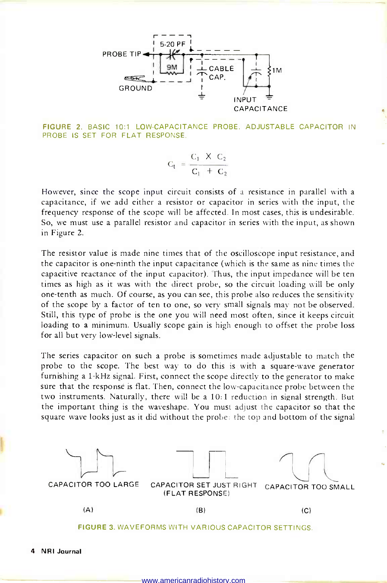

FIGURE 2. BASIC 10:1 LOW-CAPACITANCE PROBE. ADJUSTABLE CAPACITOR IN PROBE IS SET FOR FLAT RESPONSE.

$$
C_t = \frac{C_1 \times C_2}{C_1 + C_2}
$$

However, since the scope input circuit consists of a resistance in parallel with a capacitance, if we add either a resistor or capacitor in series with the input, the frequency response of the scope will be affected. In most cases, this is undesirable. So, we must use a parallel resistor and capacitor in series with the input, as shown in Figure 2.

The resistor value is made nine times that of the oscilloscope input resistance, and the capacitor is one -ninth the input capacitance (which is the same as nine times the capacitive reactance of the input capacitor). Thus, the input impedance will be ten times as high as it was with the direct probe, so the circuit loading will be only one -tenth as much. Of course, as you can see, this probe also reduces the sensitivity of the scope by a factor of ten to one, so very small signals may not be observed. Still, this type of probe is the one you will need most often, since it keeps circuit loading to a minimum. Usually scope gain is high enough to offset the probe loss for all but very low-level signals.

The series capacitor on such a probe is sometimes made adjustable to match the probe to the scope. The best way to do this is with a square -wave generator furnishing a 1 -kHz signal. First, connect the scope directly to the generator to make sure that the response is flat. Then, connect the low -capacitance probe between the two instruments. Naturally, there will be a 10:1 reduction in signal strength. But the important thing is the waveshape. You must adjust the capacitor so that the square wave looks just as it did without the probe: the top and bottom of the signal



FIGURE 3. WAVEFORMS WITH VARIOUS CAPACITOR SETTINGS.

4 NRI Journal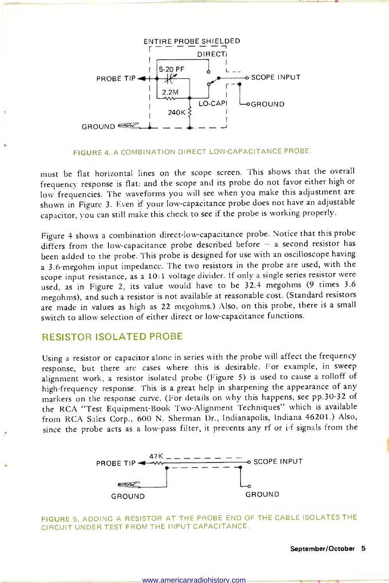

#### FIGURE 4. A COMBINATION DIRECT LOW-CAPACITANCE PROBE.

must be flat horizontal lines on the scope screen. This shows that the overall frequency response is flat; and the scope and its probe do not favor either high or low frequencies. The waveforms you will see when you make this adjustment are shown in Figure 3. Even if your low -capacitance probe does not have an adjustable capacitor, you can still make this check to see if the probe is working properly.

Figure 4 shows a combination direct -low -capacitance probe. Notice that this probe differs from the low-capacitance probe described before  $-$  a second resistor has been added to the probe. This probe is designed for use with an oscilloscope having a 3.6-megohm input impedance. The two resistors in the probe are used, with the scope input resistance, as a 10:1 voltage divider. If only a single series resistor were used, as in Figure 2, its value would have to be 32.4 megohms (9 times 3.6 megohms), and such a resistor is not available at reasonable cost. (Standard resistors are made in values as high as 22 megohms.) Also, on this probe, there is a small switch to allow selection of either direct or low -capacitance functions.

#### RESISTOR ISOLATED PROBE

Using a resistor or capacitor alone in series with the probe will affect the frequency response, but there are cases where this is desirable. For example, in sweep alignment work, a resistor isolated probe (Figure 5) is used to cause a rolloff of high -frequency response. This is a great help in sharpening the appearance of any markers on the response curve. (For details on why this happens, see pp.30-32 of the RCA "Test Equipment -Book Two -Alignment Techniques" which is available from RCA Sales Corp., 600 N. Sherman Dr., Indianapolis, Indiana 46201.) Also, since the probe acts as a low-pass filter, it prevents any rf or i-f signals from the



FIGURE 5. ADDING A RESISTOR AT THE PROBE END OF THE CABLE ISOLATES THE CIRCUIT UNDER TEST FROM THE INPUT CAPACITANCE.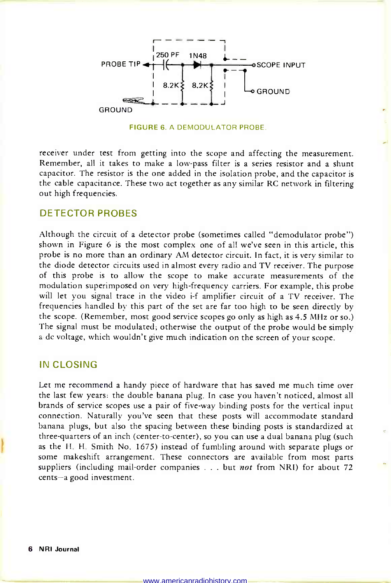

FIGURE 6. A DEMODULATOR PROBE.

receiver under test from getting into the scope and affecting the measurement. Remember, all it takes to make a low-pass filter is a series resistor and a shunt capacitor. The resistor is the one added in the isolation probe, and the capacitor is the cable capacitance. These two act together as any similar RC network in filtering out high frequencies.

#### DETECTOR PROBES

Although the circuit of a detector probe (sometimes called "demodulator probe") shown in Figure 6 is the most complex one of all we've seen in this article, this probe is no more than an ordinary AM detector circuit. In fact, it is very similar to the diode detector circuits used in almost every radio and TV receiver. The purpose of this probe is to allow the scope to make accurate measurements of the modulation superimposed on very high -frequency carriers. For example, this probe will let you signal trace in the video i-f amplifier circuit of a TV receiver. The frequencies handled by this part of the set are far too high to be seen directly by the scope. (Remember, most good service scopes go only as high as 4.5 MHz or so.) The signal must be modulated; otherwise the output of the probe would be simply a dc voltage, which wouldn't give much indication on the screen of your scope.

#### IN CLOSING

Let me recommend a handy piece of hardware that has saved me much time over the last few years: the double banana plug. In case you haven't noticed, almost all brands of service scopes use a pair of five -way binding posts for the vertical input connection. Naturally you've seen that these posts will accommodate standard banana plugs, but also the spacing between these binding posts is standardized at three-quarters of an inch (center -to -center), so you can use a dual banana plug (such as the H. H. Smith No. 1675) instead of fumbling around with separate plugs or some makeshift arrangement. These connectors are available from most parts suppliers (including mail-order companies . . . but not from NRI) for about 72 cents-a good investment.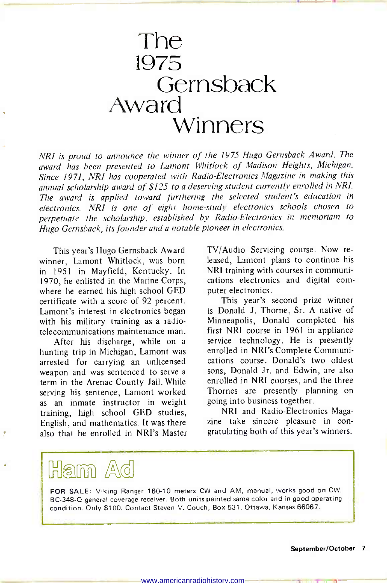### The 1975 **Gernsback** Award Winners

NRI is proud to announce the winner of the 1975 Hugo Gernsback Award. The award has been presented to Lamont Whitlock of Madison Heights, Michigan. Since 1971, NRI has cooperated with Radio -Electronics Magazine in making this annual scholarship award of \$125 to a deserving student currently enrolled in NRI. The award is applied toward furthering the selected student's education in electronics. NRI is one of eight home -study electronics schools chosen to perpetuate the scholarship, established by Radio-Electronics in memoriam to Hugo Gernsback, its founder and a notable pioneer in electronics.

This year's Hugo Gernsback Award winner, Lamont Whitlock, was born in 1951 in Mayfield, Kentucky. In 1970, he enlisted in the Marine Corps, where he earned his high school GED certificate with a score of 92 percent. Lamont's interest in electronics began with his military training as a radiotelecommunications maintenance man.

After his discharge, while on a hunting trip in Michigan, Lamont was arrested for carrying an unlicensed weapon and was sentenced to serve a term in the Arenac County Jail. While serving his sentence, Lamont worked as an inmate instructor in weight going into business together. training, high school GED studies, English, and mathematics. It was there also that he enrolled in NRI's Master

TV/Audio Servicing course. Now re leased, Lamont plans to continue his NRI training with courses in communications electronics and digital com puter electronics.

This year's second prize winner is Donald J. Thorne, Sr. A native of Minneapolis, Donald completed his first NRI course in 1961 in appliance service technology. He is presently enrolled in NRI's Complete Communications course. Donald's two oldest sons, Donald Jr. and Edwin, are also enrolled in NRI courses, and the three Thornes are presently planning on

NRI and Radio -Electronics Magazine take sincere pleasure in con gratulating both of this year's winners.

### ama  $\Delta$ d

FOR SALE: Viking Ranger 160-10 meters CW and AM, manual, works good on CW. BC -348-Q general coverage receiver. Both units painted same color and in good operating condition. Only \$100. Contact Steven V. Couch, Box 531, Ottawa, Kansas 66067.

www.americanradiohistory.com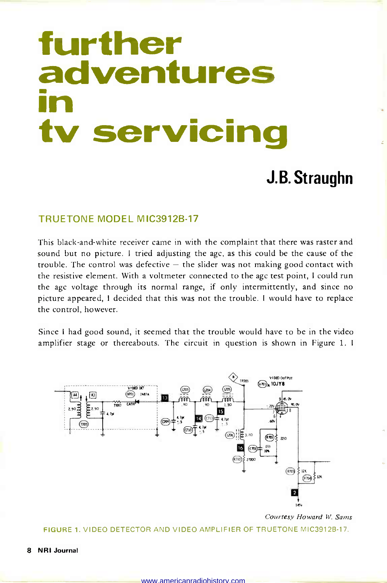# further adventures in the contract of the contract of the contract of the contract of the contract of the contract of the contract of the contract of the contract of the contract of the contract of the contract of the contract of the contrac tv servicing

### J.B. Straughn

#### TRUETONE MODEL MIC3912B-17

This black -and -white receiver came in with the complaint that there was raster and sound but no picture. I tried adjusting the agc, as this could be the cause of the trouble. The control was defective  $-$  the slider was not making good contact with the resistive element. With a voltmeter connected to the agc test point, I could run the agc voltage through its normal range, if only intermittently, and since no picture appeared, I decided that this was not the trouble. I would have to replace the control, however.

Since I had good sound, it seemed that the trouble would have to be in the video amplifier stage or thereabouts. The circuit in question is shown in Figure 1. <sup>I</sup>



Courtesy Howard W. Sams

FIGURE 1. VIDEO DETECTOR AND VIDEO AMPLIFIER OF TRUETONE MIC3912B-17.

8 NRI Journal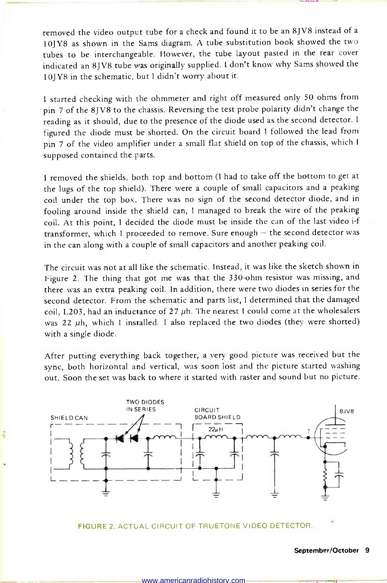removed the video output tube for a check and found it to be an 8JV8 instead of <sup>a</sup>10JY8 as shown in the Sams diagram. A tube substitution book showed the two tubes to be interchangeable. However, the tube layout pasted in the rear cover indicated an 8JV8 tube was originally supplied. I don't know why Sams showed the 10JY8 in the schematic, but I didn't worry about it.

<sup>I</sup>started checking with the ohmmeter and right off measured only 50 ohms from pin 7 of the 8JV8 to the chassis. Reversing the test probe polarity didn't change the reading as it should, due to the presence of the diode used as the second detector. I figured the diode must be shorted. On the circuit board I followed the lead from pin 7 of the video amplifier under a small flat shield on top of the chassis, which <sup>I</sup>supposed contained the parts.

<sup>I</sup>removed the shields, both top and bottom (I had to take off the bottom to get at the lugs of the top shield). There were a couple of small capacitors and a peaking coil under the top box. There was no sign of the second detector diode, and in fooling around inside the shield can, I managed to break the wire of the peaking coil. At this point, I decided the diode must be inside the can of the last video i-f transformer, which I proceeded to remove. Sure enough  $-$  the second detector was in the can along with a couple of small capacitors and another peaking coil.

The circuit was not at all like the schematic. Instead, it was like the sketch shown in Figure 2. The thing that got me was that the 330 -ohm resistor was missing, and there was an extra peaking coil. In addition, there were two diodes in series for the second detector. From the schematic and parts list, I determined that the damaged coil, L203, had an inductance of  $27 \mu$ h. The nearest I could come at the wholesalers was 22 uh, which I installed. I also replaced the two diodes (they were shorted). with a single diode.

After putting everything back together, a very good picture was received but the sync, both horizontal and vertical, was soon lost and the picture started washing out. Soon the set was back to where it started with raster and sound but no picture.



FIGURE 2. ACTUAL CIRCUIT OF TRUETONE VIDEO DETECTOR

#### September/October 9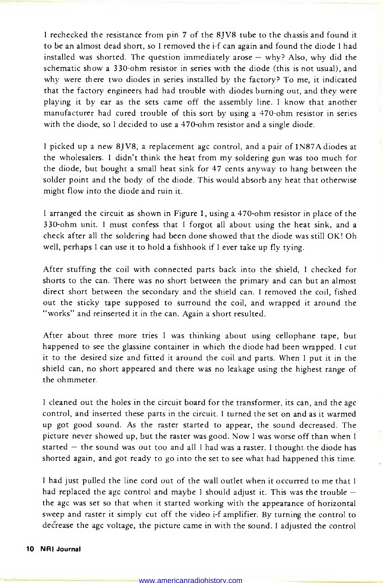<sup>I</sup>rechecked the resistance from pin 7 of the 8JV8 tube to the chassis and found it to be an almost dead short, so I removed the i-f can again and found the diode I had installed was shorted. The question immediately arose  $-$  why? Also, why did the schematic show a 330-ohm resistor in series with the diode (this is not usual), and why were there two diodes in series installed by the factory? To me, it indicated that the factory engineers had had trouble with diodes burning out, and they were playing it by ear as the sets came off the assembly line. I know that another manufacturer had cured trouble of this sort by using a 470 -ohm resistor in series with the diode, so I decided to use a 470-ohm resistor and a single diode.

<sup>I</sup>picked up a new 8JV8, a replacement agc control, and a pair of 1N87A diodes at the wholesalers. I didn't think the heat from my soldering gun was too much for the diode, but bought a small heat sink for 47 cents anyway to hang between the solder point and the body of the diode. This would absorb any heat that otherwise might flow into the diode and ruin it.

<sup>I</sup>arranged the circuit as shown in Figure 1, using a 470 -ohm resistor in place of the 330 -ohm unit. I must confess that I forgot all about using the heat sink, and a check after all the soldering had been done showed that the diode was still OK! Oh well, perhaps I can use it to hold a fishhook if I ever take up fly tying.

After stuffing the coil with connected parts back into the shield, I checked for shorts to the can. There was no short between the primary and can but an almost direct short between the secondary and the shield can. I removed the coil, fished out the sticky tape supposed to surround the coil, and wrapped it around the "works" and reinserted it in the can. Again a short resulted.

After about three more tries I was thinking about using cellophane tape, but happened to see the glassine container in which the diode had been wrapped. I cut it to the desired size and fitted it around the coil and parts. When I put it in the shield can, no short appeared and there was no leakage using the highest range of the ohmmeter.

<sup>I</sup>cleaned out the holes in the circuit board for the transformer, its can, and the agc control, and inserted these parts in the circuit. I turned the set on and as it warmed up got good sound. As the raster started to appear, the sound decreased. The picture never showed up, but the raster was good. Now I was worse off than when I started  $-$  the sound was out too and all I had was a raster. I thought the diode has shorted again, and got ready to go into the set to see what had happened this time.

<sup>I</sup>had just pulled the line cord out of the wall outlet when it occurred to me that I had replaced the agc control and maybe I should adjust it. This was the trouble  $$ the agc was set so that when it started working with the appearance of horizontal sweep and raster it simply cut off the video i-f amplifier. By turning the control to decrease the agc voltage, the picture came in with the sound. I adjusted the control

#### 10 NRI Journal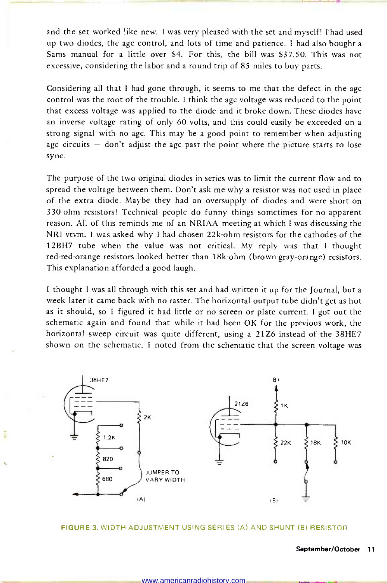and the set worked like new. I was very pleased with the set and myself! I' had used up two diodes, the agc control, and lots of time and patience. I had also bought a Sams manual for a little over \$4. For this, the bill was \$37.50. This was not excessive, considering the labor and a round trip of 85 miles to buy parts.

Considering all that I had gone through, it seems to me that the defect in the agc control was the root of the trouble. I think the agc voltage was reduced to the point that excess voltage was applied to the diode and it broke down. These diodes have an inverse voltage rating of only 60 volts, and this could easily be exceeded on a strong signal with no agc. This may be a good point to remember when adjusting agc circuits  $-$  don't adjust the agc past the point where the picture starts to lose sync.

The purpose of the two original diodes in series was to limit the current flow and to spread the voltage between them. Don't ask me why a resistor was not used in place of the extra diode. Maybe they had an oversupply of diodes and were short on 330 -ohm resistors! Technical people do funny things sometimes for no apparent reason. All of this reminds me of an NRIAA meeting at which I was discussing the NRI vtvm. I was asked why I had chosen 22k -ohm resistors for the cathodes of the 12BH7 tube when the value was not critical. My reply was that I thought red -red -orange resistors looked better than 18k -ohm (brown -gray -orange) resistors. This explanation afforded a good laugh.

I thought I was all through with this set and had written it up for the Journal, but a week later it came back with no raster. The horizontal output tube didn't get as hot as it should, so I figured it had little or no screen or plate current. I got out the schematic again and found that while it had been OK for the previous work, the horizontal sweep circuit was quite different, using a 21Z6 instead of the 38HE7 shown on the schematic. I noted from the schematic that the screen voltage was



#### FIGURE 3. WIDTH ADJUSTMENT USING SERIES (A) AND SHUNT (B) RESISTOR.

#### September/October 11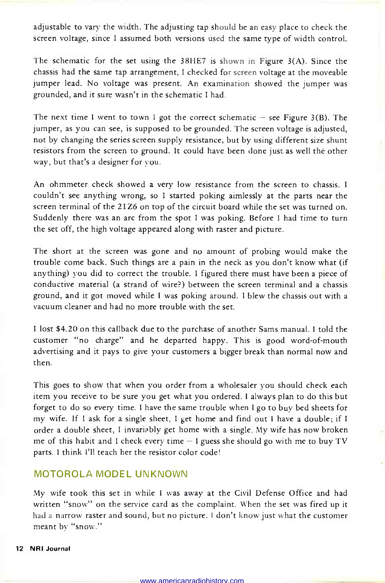adjustable to vary the width. The adjusting tap should be an easy place to check the screen voltage, since I assumed both versions used the same type of width control.

The schematic for the set using the 38HE7 is shown in Figure 3(A). Since the chassis had the same tap arrangement, I checked for screen voltage at the moveable jumper lead. No voltage was present. An examination showed the jumper was grounded, and it sure wasn't in the schematic I had.

The next time I went to town I got the correct schematic  $-$  see Figure 3(B). The jumper, as you can see, is supposed to be grounded. The screen voltage is adjusted, not by changing the series screen supply resistance, but by using different size shunt resistors from the screen to ground. It could have been done just as well the other way, but that's a designer for you.

An ohmmeter check showed a very low resistance from the screen to chassis. I couldn't see anything wrong, so I started poking aimlessly at the parts near the screen terminal of the 21 Z6 on top of the circuit board while the set was turned on. Suddenly there was an arc from the spot I was poking. Before I had time to turn the set off, the high voltage appeared along with raster and picture.

The short at the screen was gone and no amount of probing would make the trouble come back. Such things are a pain in the neck as you don't know what (if anything) you did to correct the trouble. I figured there must have been a piece of conductive material (a strand of wire?) between the screen terminal and a chassis ground, and it got moved while I was poking around. I blew the chassis out with a vacuum cleaner and had no more trouble with the set.

<sup>I</sup>lost \$4.20 on this callback due to the purchase of another Sams manual. I told the customer "no charge" and he departed happy. This is good word-of-mouth advertising and it pays to give your customers a bigger break than normal now and then.

This goes to show that when you order from a wholesaler you should check each item you receive to be sure you get what you ordered. I always plan to do this but forget to do so every time. I have the same trouble when I go to buy bed sheets for my wife. If I ask for a single sheet, I get home and find out I have a double; if I order a double sheet, I invariably get home with a single. My wife has now broken me of this habit and I check every time  $-1$  guess she should go with me to buy TV parts. I think I'll teach her the resistor color code!

#### MOTOROLA MODEL UNKNOWN

My wife took this set in while I was away at the Civil Defense Office and had written "snow" on the service card as the complaint. When the set was fired up it had a narrow raster and sound, but no picture. I don't know just what the customer meant by "snow."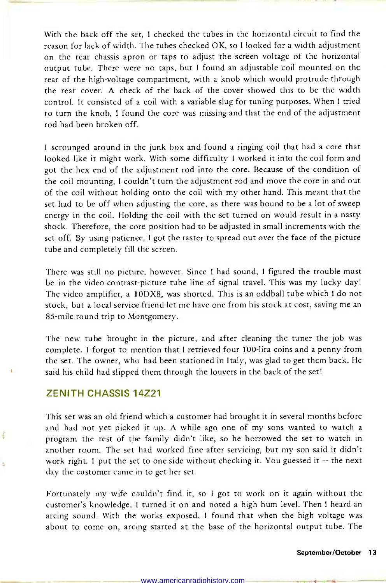With the back off the set, I checked the tubes in the horizontal circuit to find the reason for lack of width. The tubes checked OK, so I looked for a width adjustment on the rear chassis apron or taps to adjust the screen voltage of the horizontal output tube. There were no taps, but I found an adjustable coil mounted on the rear of the high -voltage compartment, with a knob which would protrude through the rear cover. A check of the back of the cover showed this to be the width control. It consisted of a coil with a variable slug for tuning purposes. When I tried to turn the knob, I found the core was missing and that the end of the adjustment rod had been broken off.

<sup>I</sup>scrounged around in the junk box and found a ringing coil that had a core that looked like it might work. With some difficulty I worked it into the coil form and got the hex end of the adjustment rod into the core. Because of the condition of the coil mounting, I couldn't turn the adjustment rod and move the core in and out of the coil without holding onto the coil with my other hand. This meant that the set had to be off when adjusting the core, as there was bound to be a lot of sweep energy in the coil. Holding the coil with the set turned on would result in a nasty shock. Therefore, the core position had to be adjusted in small increments with the set off. By using patience, I got the raster to spread out over the face of the picture tube and completely fill the screen.

There was still no picture, however. Since I had sound, I figured the trouble must be in the video-contrast-picture tube line of signal travel. This was my lucky day! The video amplifier, a I0DX8, was shorted. This is an oddball tube which I do not stock, but a local service friend let me have one from his stock at cost, saving me an 85 -mile round trip to Montgomery.

The new tube brought in the picture, and after cleaning the tuner the job was complete. I forgot to mention that I retrieved four 100 -lira coins and a penny from the set. The owner, who had been stationed in Italy, was glad to get them back. He said his child had slipped them through the louvers in the back of the set!

#### ZENITH CHASSIS 14Z21

 $\Delta$ 

This set was an old friend which a customer had brought it in several months before and had not yet picked it up. A while ago one of my sons wanted to watch a program the rest of the family didn't like, so he borrowed the set to watch in another room. The set had worked fine after servicing, but my son said it didn't work right. I put the set to one side without checking it. You guessed it  $-$  the next day the customer came in to get her set.

Fortunately my wife couldn't find it, so I got to work on it again without the customer's knowledge. I turned it on and noted a high hum level. Then I heard an arcing sound. With the works exposed, I found that when the high voltage was about to come on, arcing started at the base of the horizontal output tube. The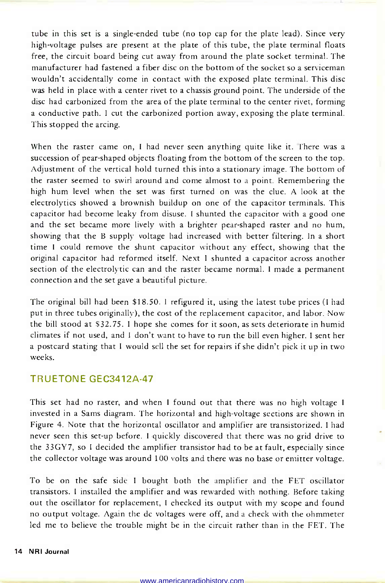tube in this set is a single -ended tube (no top cap for the plate lead). Since very high -voltage pulses are present at the plate of this tube, the plate terminal floats free, the circuit board being cut away from around the plate socket terminal. The manufacturer had fastened a fiber disc on the bottom of the socket so a serviceman wouldn't accidentally come in contact with the exposed plate terminal. This disc was held in place with a center rivet to a chassis ground point. The underside of the disc had carbonized from the area of the plate terminal to the center rivet, forming a conductive path. I cut the carbonized portion away, exposing the plate terminal. This stopped the arcing.

When the raster came on, I had never seen anything quite like it. There was a succession of pear-shaped objects floating from the bottom of the screen to the top. Adjustment of the vertical hold turned this into a stationary image. The bottom of the raster seemed to swirl around and come almost to a point. Remembering the high hum level when the set was first turned on was the clue. A look at the electrolytics showed a brownish buildup on one of the capacitor terminals. This capacitor had become leaky from disuse. I shunted the capacitor with a good one and the set became more lively with a brighter pear-shaped raster and no hum, showing that the B supply voltage had increased with better filtering. In a short time I could remove the shunt capacitor without any effect, showing that the original capacitor had reformed itself. Next I shunted a capacitor across another section of the electrolytic can and the raster became normal. I made a permanent connection and the set gave a beautiful picture.

The original bill had been \$18.50. I refigured it, using the latest tube prices (I had put in three tubes originally), the cost of the replacement capacitor, and labor. Now the bill stood at \$32.75. I hope she comes for it soon, as sets deteriorate in humid climates if not used, and I don't want to have to run the bill even higher. I sent her a postcard stating that I would sell the set for repairs if she didn't pick it up in two weeks.

#### TRUETONE GEC3412A-47

This set had no raster, and when I found out that there was no high voltage I invested in a Sams diagram. The horizontal and high -voltage sections are shown in Figure 4. Note that the horizontal oscillator and amplifier are transistorized. I had never seen this set-up before. I quickly discovered that there was no grid drive to the 33GY7, so I decided the amplifier transistor had to be at fault, especially since the collector voltage was around 100 volts and there was no base or emitter voltage.

To be on the safe side I bought both the amplifier and the FET oscillator transistors. I installed the amplifier and was rewarded with nothing. Before taking out the oscillator for replacement, I checked its output with my scope and found no output voltage. Again the dc voltages were off, and a check with the ohmmeter led me to believe the trouble might be in the circuit rather than in the FET. The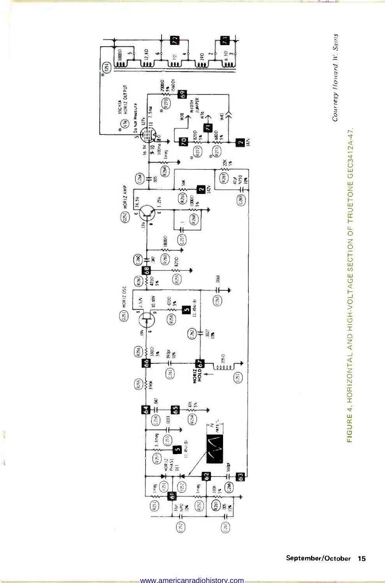

 $\frac{1}{2}$ 

à



Courtesy Howard W. Sams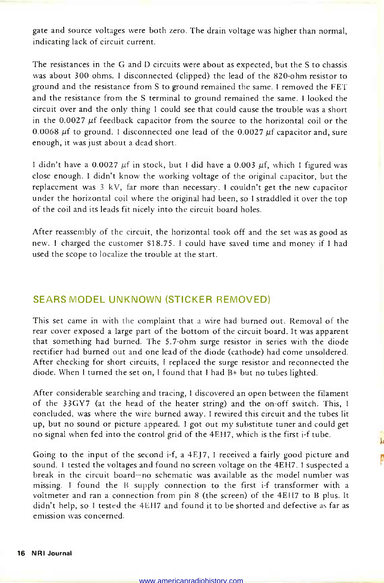gate and source voltages were both zero. The drain voltage was higher than normal, indicating lack of circuit current.

The resistances in the G and D circuits were about as expected, but the S to chassis was about 300 ohms. I disconnected (clipped) the lead of the 820-ohm resistor to ground and the resistance from S to ground remained the same. I removed the FET and the resistance from the S terminal to ground remained the same. I looked the circuit over and the only thing I could see that could cause the trouble was a short in the 0.0027 µf feedback capacitor from the source to the horizontal coil or the 0.0068  $\mu$ f to ground. I disconnected one lead of the 0.0027  $\mu$ f capacitor and, sure enough, it was just about a dead short.

I didn't have a 0.0027  $\mu$ f in stock, but I did have a 0.003  $\mu$ f, which I figured was close enough. I didn't know the working voltage of the original capacitor, but the replacement was 3 kV, far more than necessary. I couldn't get the new capacitor under the horizontal coil where the original had been, so I straddled it over the top of the coil and its leads fit nicely into the circuit board holes.

After reassembly of the circuit, the horizontal took off and the set was as good as new. I charged the customer \$18.75. I could have saved time and money if I had used the scope to localize the trouble at the start.

#### SEARS MODEL UNKNOWN (STICKER REMOVED)

This set came in with the complaint that a wire had burned out. Removal of the rear cover exposed a large part of the bottom of the circuit board. It was apparent that something had burned. The 5.7 -ohm surge resistor in series with the diode rectifier had burned out and one lead of the diode (cathode) had come unsoldered. After checking for short circuits, I replaced the surge resistor and reconnected the diode. When I turned the set on, I found that I had B+ but no tubes lighted.

After considerable searching and tracing, I discovered an open between the filament of the 33GY7 (at the head of the heater string) and the on -off switch. This, I concluded, was where the wire burned away. I rewired this circuit and the tubes lit up, but no sound or picture appeared. I got out my substitute tuner and could get no signal when fed into the control grid of the 4EH7, which is the first i -f tube.

Going to the input of the second i-f, a  $4E/7$ , I received a fairly good picture and sound. I tested the voltages and found no screen voltage on the 4EH7. I suspected a break in the circuit board-no schematic was available as the model number was missing. I found the B supply connection to the first i-f transformer with a voltmeter and ran a connection from pin 8 (the screen) of the 4EH7 to B plus. It didn't help, so I tested the 4EH7 and found it to be shorted and defective as far as emission was concerned.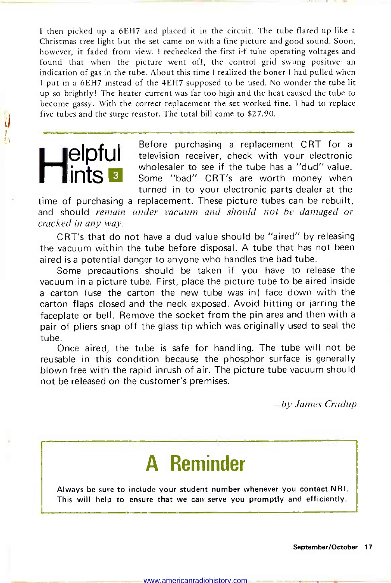I then picked up a 6EH7 and placed it in the circuit. The tube flared up like a Christmas tree light but the set came on with a fine picture and good sound. Soon, however, it faded from view. I rechecked the first i-f tube operating voltages and found that when the picture went off, the control grid swung positive-an indication of gas in the tube. About this time I realized the boner I had pulled when <sup>I</sup>put in a 6EH7 instead of the 4EH7 supposed to be used. No wonder the tube lit up so brightly! The heater current was far too high and the heat caused the tube to become gassy. With the correct replacement the set worked fine. I had to replace five tubes and the surge resistor. Thé total bill came to \$27.90.

**elpfui** Before purchasing a replacement CRT for a<br>Helevision receiver, check with your electronic<br>wholesaler to see if the tube has a "dud" value.<br>Some "bad" CRT's are worth money when wholesaler to see if the tube has a "dud" value. Some "bad" CRT's are worth money when turned in to your electronic parts dealer at the

time of purchasing a replacement. These picture tubes can be rebuilt, and should remain under vacuum and should not be damaged or cracked in any way.

CRT's that do not have a dud value should be "aired" by releasing the vacuum within the tube before disposal. A tube that has not been aired is a potential danger to anyone who handles the bad tube.

Some precautions should be taken if you have to release the vacuum in a picture tube. First, place the picture tube to be aired inside a carton (use the carton the new tube was in) face down with the carton flaps closed and the neck exposed. Avoid hitting or jarring the faceplate or bell. Remove the socket from the pin area and then with a pair of pliers snap off the glass tip which was originally used to seal the tube.

Once aired, the tube is safe for handling. The tube will not be reusable in this condition because the phosphor surface is generally blown free with the rapid inrush of air. The picture tube vacuum should not be released on the customer's premises.

-by James Crudup

### A Reminder

Always be sure to include your student number whenever you contact NRI. This will help to ensure that we can serve you promptly and efficiently.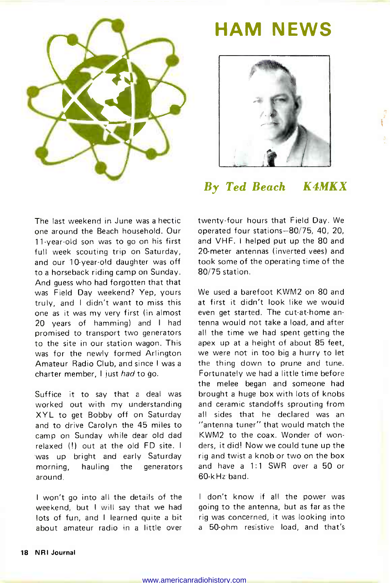

### HAM NEWS



#### By Ted Beach K4MKX

The last weekend in June was a hectic one around the Beach household. Our <sup>11</sup>-year -old son was to go on his first full week scouting trip on Saturday, and our 10-year-old daughter was off to a horseback riding camp on Sunday. And guess who had forgotten that that was Field Day weekend? Yep, yours truly, and I didn't want to miss this one as it was my very first (in almost 20 years of hamming) and I had promised to transport two generators to the site in our station wagon. This was for the newly formed Arlington Amateur Radio Club, and since I was <sup>a</sup>charter member, I just had to go.

Suffice it to say that a deal was worked out with my understanding XYL to get Bobby off on Saturday and to drive Carolyn the 45 miles to camp on Sunday while dear old dad relaxed (!) out at the old FD site. I was up bright and early Saturday morning, hauling the generators around.

<sup>I</sup>won't go into all the details of the weekend, but I will say that we had lots of fun, and I learned quite a bit about amateur radio in a little over twenty-four hours that Field Day. We operated four stations -80/75, 40, 20, and VHF. I helped put up the 80 and 20-meter antennas (inverted vees) and took some of the operating time of the 80/75 station.

We used a barefoot KWM2 on 80 and at first it didn't look like we would even get started. The cut-at-home antenna would not take a load, and after all the time we had spent getting the apex up at a height of about 85 feet, we were not in too big a hurry to let the thing down to prune and tune. Fortunately we had a little time before the melee began and someone had brought a huge box with lots of knobs and ceramic standoffs sprouting from all sides that he declared was an "antenna tuner" that would match the KWM2 to the coax. Wonder of wonders, it did! Now we could tune up the rig and twist a knob or two on the box and have a 1:1 SWR over a 50 or 60 -kHz band.

I don't know if all the power was going to the antenna, but as far as the rig was concerned, it was looking into <sup>a</sup>50 -ohm resistive load, and that's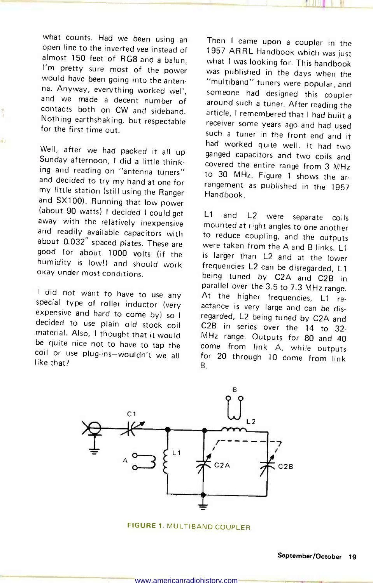what counts. Had we been using an if Then I came upon a coupler in the open line to the inverted vee instead of in 1957 ARRL Handbook which was just almost 150 feet of RG8 and a balun,<br>I'm pretty sure most of the power would have been going into the antenna. Anyway, everything worked well, someone had designed this coupler and we made a decent number of contacts both on CW and sideband. article, I remembered that I had built a Nothing earthshaking, but respectable for the first time out.

Well, after we had packed it all up<br>Sunday afternoon, I did a little thinking and reading on "antenna tuners" to 30 MHz. Figure 1 shows the arand decided to try my hand at one for my little station (still using the Ranger (about 90 watts). I decided I could get away with the relatively inexpensive and readily available capacitors with<br>about 0.032" spaced plates. These are about 1000 volts (if the humidity is low!) and should work okay under most conditions.

d s

decided to use plain old stock coil C2B in series over the 14 to 32material. Also, I thought that it would be quite nice not to have to tap the come from link A, while outputs coil or use plug-ins-wouldn't we all like that?

Then I came upon a coupler in the what I was looking for. This handbook was published in the days when the "multiband" tuners were popular, and around such a tuner. After reading the receiver some years ago and had used such a tuner in the front end and it had worked quite well. It had two ganged capacitors and two coils and covered the entire range from 3 MHz rangement as published in the 1957 Handbook.

I did not want to have to use any anallel over the 3.5 to 7.3 MHz range.<br>
Special type of roller inductor (very actance is very large and can be dis-<br>
expensive and hard to come by so I renarded 1.2 being tuned by C3A set L1 and L2 were separate coils mounted at right angles to one another to reduce coupling, and the outputs were taken from the A and B links. L1 is larger than L2 and at the lower frequencies L2 can be disregarded, L1 being tuned by C2A and C2B in At the higher frequencies, L1 reregarded, L2 being tuned by C2A and MHz range. Outputs for 80 and 40 for 20 through 10 come from link B.



FIGURE 1. MULTIBAND COUPLER.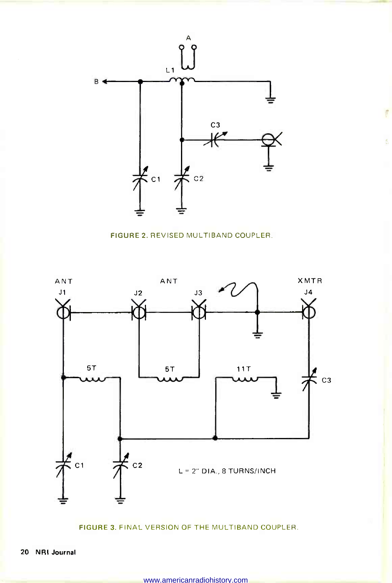

 $\frac{1}{\sqrt{2}}$ 

¢,

FIGURE 2. REVISED MULTIBAND COUPLER.



FIGURE 3. FINAL VERSION OF THE MULTIBAND COUPLER.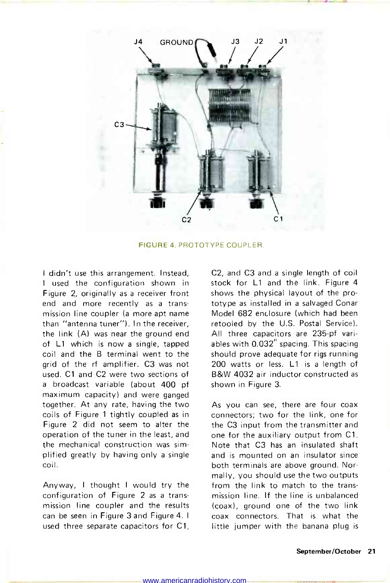

FIGURE 4. PROTOTYPE COUPLER.

I didn't use this arrangement. Instead, <sup>I</sup>used the configuration shown in Figure 2, originally as a receiver front end and more recently as a transmission line coupler (a more apt name than "antenna tuner"). In the receiver, the link (A) was near the ground end of L1 which is now a single, tapped coil and the B terminal went to the grid of the rf amplifier. C3 was not used. Cl and C2 were two sections of a broadcast variable (about 400 pf maximum capacity) and were ganged together. At any rate, having the two coils of Figure 1 tightly coupled as in Figure 2 did not seem to alter the operation of the tuner in the least, and the mechanical construction was simplified greatly by having only a single coil.

Anyway, I thought I would try the configuration of Figure 2 as a transmission line coupler and the results can be seen in Figure 3 and Figure 4. I used three separate capacitors for Cl, C2, and C3 and a single length of coil stock for L1 and the link. Figure 4 shows the physical layout of the prototype as installed in a salvaged Conar Model 682 enclosure (which had been retooled by the U.S. Postal Service). All three capacitors are 235-pf variables with 0.032" spacing. This spacing should prove adequate for rigs running 200 watts or less. L1 is a length of B&W 4032 air inductor constructed as shown in Figure 3.

As you can see, there are four coax connectors; two for the link, one for the C3 input from the transmitter and one for the auxiliary output from Cl. Note that C3 has an insulated shaft and is mounted on an insulator since both terminals are above ground. Normally, you should use the two outputs from the link to match to the transmission line. If the line is unbalanced (coax), ground one of the two link coax connectors. That is what the little jumper with the banana plug is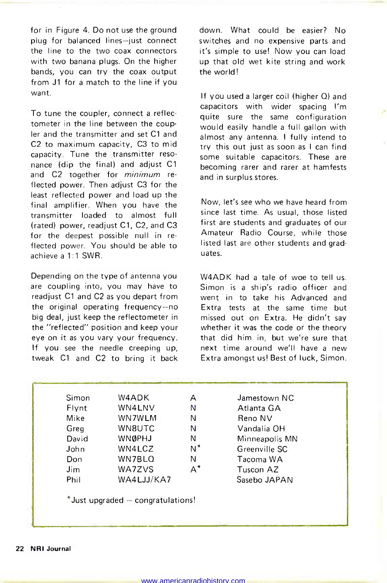for in Figure 4. Do not use the ground plug for balanced lines-just connect the line to the two coax connectors with two banana plugs. On the higher bands, you can try the coax output from J1 for a match to the line if you want.

To tune the coupler, connect a reflectometer in the line between the coupler and the transmitter and set Cl and C2 to maximum capacity, C3 to mid capacity. Tune the transmitter reso- nance (dip the final) and adjust Cl and C2 together for *minimum* reflected power. Then adjust C3 for the least reflected power and load up the final amplifier. When you have the transmitter loaded to almost full (rated) power, readjust Cl, C2, and C3 for the deepest possible null in re flected power. You should be able to achieve a 1:1 SWR.

Depending on the type of antenna you are coupling into, you may have to readjust Cl and C2 as you depart from the original operating frequency-no big deal, just keep the reflectometer in the "reflected" position and keep your eye on it as you vary your frequency. If you see the needle creeping up, tweak C1 and C2 to bring it back

down. What could be easier? No switches and no expensive parts and it's simple to use! Now you can load up that old wet kite string and work the world!

If you used a larger coil (higher Q) and capacitors with wider spacing I'm quite sure the same configuration would easily handle a full gallon with almost any antenna. I fully intend to try this out just as soon as I can find some suitable capacitors. These are becoming rarer and rarer at hamfests and in surplus stores.

Now, let's see who we have heard from since last time. As usual, those listed first are students and graduates of our Amateur Radio Course, while those listed last are other students and graduates.

W4ADK had a tale of woe to tell us. Simon is a ship's radio officer and went in to take his Advanced and Extra tests at the same time but missed out on Extra. He didn't say whether it was the code or the theory that did him in, but we're sure that next time around we'll have a new Extra amongst us! Best of luck, Simon.

| Simon | W4ADK         | А     | Jamestown NC   |
|-------|---------------|-------|----------------|
| Flynt | WN4LNV        | Ν     | Atlanta GA     |
| Mike  | WN7WLM        | N     | Reno NV        |
| Greg  | WN8UTC        | N     | Vandalia OH    |
| David | <b>WNØPHJ</b> | Ν     | Minneapolis MN |
| John  | WN4LCZ        | N*    | Greenville SC  |
| Don   | WN7BLQ        | N     | Tacoma WA      |
| Jim.  | WA7ZVS        | $A^*$ | Tuscon AZ      |
| Phil  | WA4LJJ/KA7    |       | Sasebo JAPAN   |

 $*$ Just upgraded  $-$  congratulations!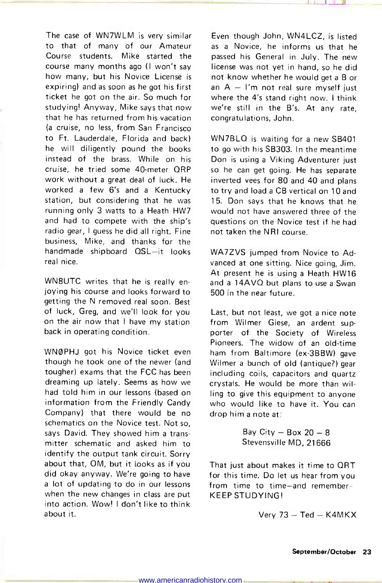The case of WN7WLM is very similar to that of many of our Amateur Course students. Mike started the course many months ago (I won't say how many, but his Novice License is expiring) and as soon as he got his first ticket he got on the air. So much for studying! Anyway, Mike says that now that he has returned from his vacation (a cruise, no less, from San Francisco to Ft. Lauderdale, Florida and back) he will diligently pound the books instead of the brass. While on his cruise, he tried some 40-meter QRP work without a great deal of luck. He worked a few 6's and a Kentucky station, but considering that he was running only 3 watts to a Heath HW7 and had to compete with the ship's radio gear, I guess he did all right. Fine business, Mike, and thanks for the handmade shipboard QSL-it looks real nice.

WN8UTC writes that he is really enjoying his course and looks forward to getting the N removed real soon. Best of luck, Greg, and we'll look for you on the air now that I have my station back in operating condition.

WNOPHJ got his Novice ticket even though he took one of the newer (and tougher) exams that the FCC has been dreaming up lately. Seems as how we had told him in our lessons (based on information from the Friendly Candy Company) that there would be no schematics on the Novice test. Not so, says David. They showed him a transmitter schematic and asked him to identify the output tank circuit. Sorry about that, OM, but it looks as if you did okay anyway. We're going to have a lot of updating to do in our lessons when the new changes in class are put into action. Wow! I don't like to think about it.

Even though John, WN4LCZ, is listed as a Novice, he informs us that he passed his General in July. The new license was not yet in hand, so he did not know whether he would get a B or an  $A - I'm$  not real sure myself just where the 4's stand right now. I think we're still in the B's. At any rate, congratulations, John.

WN7BLQ is waiting for a new SB401 to go with his SB303. In the meantime Don is using a Viking Adventurer just so he can get going. He has separate inverted vees for 80 and 40 and plans to try and load a CB vertical on 10 and 15. Don says that he knows that he would not have answered three of the questions on the Novice test if he had not taken the NRI course.

WA7ZVS jumped from Novice to Advanced at one sitting. Nice going, Jim. At present he is using a Heath HW16 and a 14AVQ but plans to use a Swan 500 in the near future.

Last, but not least, we got a nice note from Wilmer Giese, an ardent supporter of the Society of Wireless Pioneers. The widow of an old-time ham from Baltimore (ex-3BBW) gave Wilmer a bunch of old (antique?) gear including coils, capacitors and quartz crystals. He would be more than willing to give this equipment to anyone who would like to have it. You can drop him a note at:

> Bay City  $-$  Box 20  $-$  8 Stevensville MD, 21666

That just about makes it time to QRT for this time. Do let us hear from you from time to time-and remember-KEEP STUDYING!

Very  $73 - Ted - K4MKX$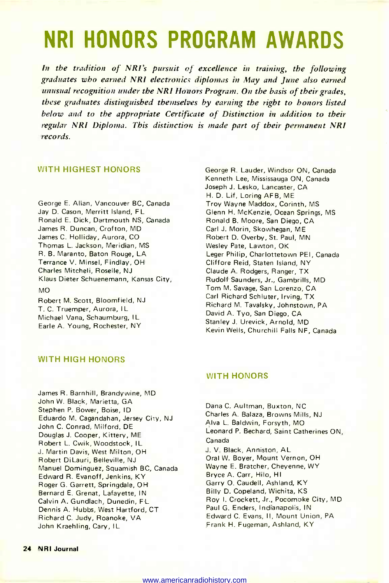### NRI HONORS PROGRAM AWARDS

In the tradition of NRI's pursuit of excellence in training, the following graduates who earned NRI electronics diplomas in May and June also earned unusual recognition under the NRI Honors Program. On the basis of their grades, these graduates distinguished themselves by earning the right to honors listed below and to the appropriate Certificate of Distinction in addition to their regular NRI Diploma. This distinction is made part of their permanent NRI records.

#### WITH HIGHEST HONORS

George E. Allan, Vancouver BC, Canada Jay D. Cason, Merritt Island, FL Ronald E. Dick, Dartmouth NS, Canada James R. Duncan, Crofton, MD James C. Holliday, Aurora, CO Thomas L. Jackson, Meridian, MS R. B. Maranto, Baton Rouge, LA Terrance V. Minsel, Findlay, OH Charles Mitcheli, Roselle, NJ Klaus Dieter Schuenemann, Kansas City, MO

Robert M. Scott, Bloomfield, NJ T. C. Truemper, Aurora, IL Michael Vana, Schaumburg, IL Earle A. Young, Rochester, NY

George R. Lauder, Windsor ON, Canada Kenneth Lee, Mississauga ON, Canada Joseph J. Lesko, Lancaster, CA H. D. Lif, Loring AFB, ME Troy Wayne Maddox, Corinth, MS Glenn H. McKenzie, Ocean Springs, MS Ronald B. Moore, San Diego, CA Carl J. Morin, Skowhegan, ME Robert D. Overby, St. Paul, MN Wesley Pate, Lawton, OK Leger Philip, Charlottetown PEI, Canada Cliffore Reid, Staten Island, NY Claude A. Rodgers, Ranger, TX Rudolf Saunders, Jr., Gambrills, MD Tom M. Savage, San Lorenzo, CA Carl Richard Schluter, Irving, TX Richard M. Tavalsky, Johnstown, PA David A. Tyo, San Diego, CA Stanley J. Urevick, Arnold, MD Kevin Wells, Churchill Falls NF, Canada

#### WITH HIGH HONORS

James R. Barnhill, Brandywine, MD John W. Black, Marietta, GA Stephen P. Bower, Boise, ID Eduardo M. Cagandahan, Jersey City, NJ John C. Conrad, Milford, DE Douglas J. Cooper, Kittery, ME Robert L. Cwik, Woodstock, IL J. Martin Davis, West Milton, OH Robert DiLauri, Belleville, NJ Manuel Dominguez, Squamish BC, Canada Edward R. Evanoff, Jenkins, KY Roger G. Garrett, Springdale, OH Bernard E. Grenat, Lafayette, IN Calvin A. Gundlach, Dunedin, FL Dennis A. Hubbs, West Hartford, CT Richard C. Judy, Roanoke, VA John Kraehling, Cary, IL

#### WITH HONORS

Dana C. Aultman, Buxton, NC Charles A. Balaza, Browns Mills, NJ Alva L. Baldwin, Forsyth, MO Leonard P. Bechard, Saint Catherines ON, Canada J. V. Black, Anniston, AL Oral W. Boyer, Mount Vernon, OH Wayne E. Bratcher, Cheyenne, WY Bryce A. Carr, Hilo, HI Garry O. Caudell, Ashland, KY Billy D. Copeland, Wichita, KS Roy I. Crockett, Jr., Pocomoke City, MD Paul G. Enders, Indianapolis, IN Edward C. Evans, II, Mount Union, PA Frank H. Fugeman, Ashland, KY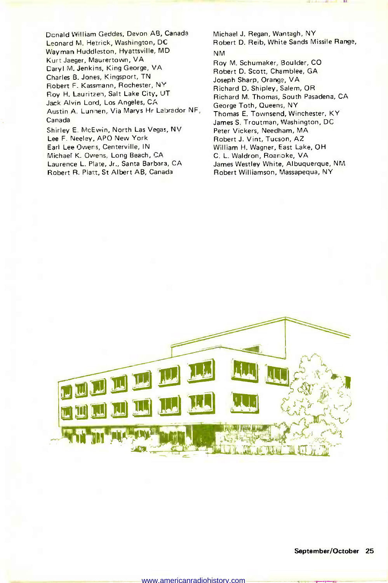Donald William Geddes, Devon AB, Canada Leonard M. Hetrick, Washington, DC Wayman Huddleston, Hyattsville, MD Kurt Jaeger, Maurertown, VA Daryl M. Jenkins, King George, VA Charles B. Jones, Kingsport, TN Robert F. Kassmann, Rochester, NY Roy H. Lauritzen, Salt Lake City, UT Jack Alvin Lord, Los Angeles, CA Austin A. Lunnen, Via Marys Hr Labrador NF, Canada Shirley E. McEwin, North Las Vegas, NV Lee F. Neeley, APO New York Earl Lee Owens, Centerville, IN Michael K. Owens, Long Beach, CA

Laurence L. Plate, Jr., Santa Barbara, CA Robert R. Platt, St Albert AB, Canada

Michael J. Regan, Wantagh, NY Robert D. Reib, White Sands Missile Range, NM

Roy M. Schumaker, Boulder, CO Robert D. Scott, Chamblee, GA Joseph Sharp, Orange, VA Richard D. Shipley, Salem, OR Richard M. Thomas, South Pasadena, CA George Toth, Queens, NY Thomas E. Townsend, Winchester, KY James S. Troutman, Washington, DC Peter Vickers, Needham, MA Robert J. Vint, Tucson, AZ William H. Wagner, East Lake, OH C. L. Waldron, Roanoke, VA James Westley White, Albuquerque, NM Robert Williamson, Massapequa, NY

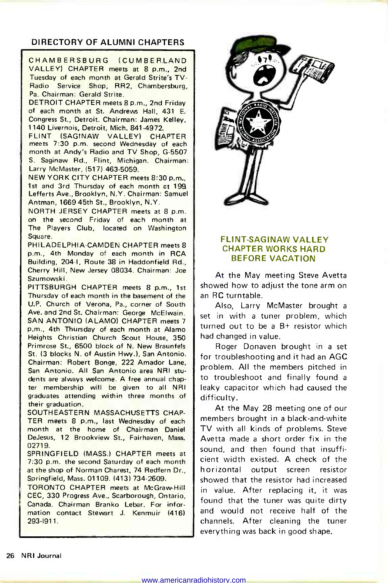#### DIRECTORY OF ALUMNI CHAPTERS

CHAMBERSBURG (CUMBERLAND VALLEY) CHAPTER meets at 8 p.m., 2nd Tuesday of each month at Gerald Strite's TV-Radio Service Shop, RR2, Chambersburg, Pa. Chairman: Gerald Strite.

DETROIT CHAPTER meets 8 p.m., 2nd Friday of each month at St. Andrews Hall, 431 E. Congress St., Detroit. Chairman: James Kelley, 1140 Livernois, Detroit, Mich. 841-4972.

FLINT (SAGINAW VALLEY) CHAPTER meets 7:30 p.m. second Wednesday of each month at Andy's Radio and TV Shop, G-5507 S. Saginaw Rd., Flint, Michigan. Chairman: Larry McMaster, (517) 463-5059.

NEW YORK CITY CHAPTER meets 8:30 p.m., 1st and 3rd Thursday of each month at 199. Lefferts Ave., Brooklyn, N.Y. Chairman: Samuel Antman, 1669 45th St., Brooklyn, N.Y.

NORTH JERSEY CHAPTER meets at 8 p.m. on the second Friday of each month at The Players Club, located on Washington Square.

PHILADELPHIA -CAMDEN CHAPTER meets 8 p.m., 4th Monday of each month in RCA Building, 204-1, Route 38 in Haddonfield Rd., Cherry Hill, New Jersey 08034. Chairman: Joe Szumowski.

PITTSBURGH CHAPTER meets 8 p.m., 1st Thursday of each month in the basement of the U.P. Church of Verona, Pa., corner of South Ave. and 2nd St. Chairman: George McElwain. SAN ANTONIO (ALAMO) CHAPTER meets 7 p.m., 4th Thursday of each month at Alamo Heights Christian Church Scout House, 350 Primrose St., 6500 block of N. New Braunfels St. (3 blocks N. of Austin Hwy.), San Antonio. Chairman: Robert Bonge, 222 Amador Lane, San Antonio. All San Antonio area NRI students are always welcome. A free annual chapter membership will be given to all NRI graduates attending within three months of their graduation.

SOUTHEASTERN MASSACHUSETTS CHAP-TER meets 8 p.m., last Wednesday of each month at the home of Chairman Daniel DeJesus, 12 Brookview St., Fairhaven, Mass. 02719.

SPRINGFIELD (MASS.) CHAPTER meets at 7:30 p.m. the second Saturday of each month at the shop of Norman Charest, 74 Redfern Dr., Springfield, Mass. 01109. (413) 734-2609.

TORONTO CHAPTER meets at McGraw-Hill CEC, 330 Progress Ave., Scarborough, Ontario, Canada. Chairman Branko Lebar. For information contact Stewart J. Kenmuir (416) 293-1911.



#### FLINT-SAGINAW VALLEY CHAPTER WORKS HARD BEFORE VACATION

At the May meeting Steve Avetta showed how to adjust the tone arm on an RC turntable.

Also, Larry McMaster brought a set in with a tuner problem, which turned out to be a B+ resistor which had changed in value.

Roger Donaven brought in a set for troubleshooting and it had an AGC problem. All the members pitched in to troubleshoot and finally found a leaky capacitor which had caused the difficulty.

At the May 28 meeting one of our members brought in a black-and-white TV with all kinds of problems. Steve Avetta made a short order fix in the sound, and then found that insufficient width existed. A check of the horizontal output screen resistor showed that the resistor had increased in value. After replacing it, it was found that the tuner was quite dirty and would not receive half of the channels. After cleaning the tuner everything was back in good shape.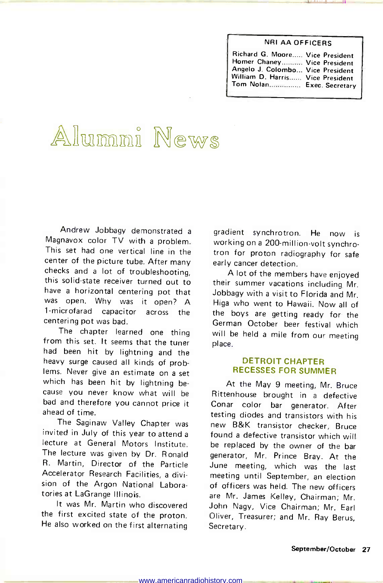#### NRI AA OFFICERS

| Richard G. Moore Vice President  |  |
|----------------------------------|--|
| Homer Chaney Vice President      |  |
| Angelo J. Colombo Vice President |  |
| William D. Harris Vice President |  |
| Tom Notan Exec. Secretary        |  |

# Alumni News

Andrew Jobbagy demonstrated a Magnavox color TV with a problem. This set had one vertical line in the center of the picture tube. After many checks and a lot of troubleshooting, this solid-state receiver turned out to their summer vacations including Mr. have a horizontal centering pot that was open. Why was it open? A<br>1-microfarad capacitor across the 1-microfarad capacitor across the centering pot was bad.

The chapter learned one thing from this set. It seems that the tuner had been hit by lightning and the heavy surge caused all kinds of problems. Never give an estimate on a set which has been hit by lightning be-<br>cause you never know what will be bad and therefore you cannot price it ahead of time.

The Saginaw Valley Chapter was invited in July of this year to attend a lecture at General Motors Institute. The lecture was given by Dr. Ronald R. Martin, Director of the Particle Accelerator Research Facilities, a division of the Argon National Laboratories at LaGrange Illinois.

It was Mr. Martin who discovered the first excited state of the proton. He also worked on the first alternating gradient synchrotron. He now is working on a 200-million-volt synchrotron for proton radiography for safe early cancer detection.

A lot of the members have enjoyed Jobbagy with a visit to Florida and Mr. Higa who went to Hawaii. Now all of the boys are getting ready for the German October beer festival which will be held a mile from our meeting place.

#### DETROIT CHAPTER RECESSES FOR SUMMER

At the May 9 meeting, Mr. Bruce Rittenhouse brought in a defective Conar color bar generator. After testing diodes and transistors with his new B&K transistor checker, Bruce found a defective transistor which will be replaced by the owner of the bar generator, Mr. Prince Bray. At the June meeting, which was the last meeting until September, an election of officers was held. The new officers are Mr. James Kelley, Chairman; Mr. John Nagy, Vice Chairman; Mr. Earl Oliver, Treasurer; and Mr. Ray Berus, Secretary.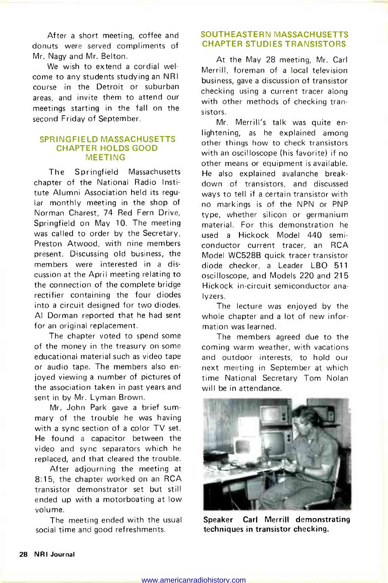After a short meeting, coffee and donuts were served compliments of Mr. Nagy and Mr. Belton.

We wish to extend a cordial welcome to any students studying an NRI course in the Detroit or suburban areas, and invite them to attend our meetings starting in the fall on the second Friday of September.

#### SPRINGFIELD MASSACHUSETTS CHAPTER HOLDS GOOD MEETING

The Springfield Massachusetts chapter of the National Radio Institute Alumni Association held its regular monthly meeting in the shop of Norman Charest, 74 Red Fern Drive, Springfield on May 10. The meeting was called to order by the Secretary, Preston Atwood, with nine members present. Discussing old business, the members were interested in a discussion at the April meeting relating to the connection of the complete bridge rectifier containing the four diodes into a circuit designed for two diodes. Al Dorman reported that he had sent for an original replacement.

The chapter voted to spend some of the money in the treasury on some educational material such as video tape or audio tape. The members also enjoyed viewing a number of pictures of the association taken in past years and sent in by Mr. Lyman Brown.

Mr. John Park gave a brief sum mary of the trouble he was having with a sync section of a color TV set. He found a capacitor between the video and sync separators which he replaced, and that cleared the trouble.

After adjourning the meeting at 8:15, the chapter worked on an RCA transistor demonstrator set but still ended up with a motorboating at low volume.

The meeting ended with the usual social time and good refreshments.

#### SOUTHEASTERN MASSACHUSETTS CHAPTER STUDIES TRANSISTORS

At the May 28 meeting, Mr. Carl Merrill, foreman of a local television business, gave a discussion of transistor checking using a current tracer along with other methods of checking transistors.

Mr. Merrill's talk was quite enlightening, as he explained among other things how to check transistors with an oscilloscope (his favorite) if no other means or equipment is available. He also explained avalanche breakdown of transistors, and discussed ways to tell if a certain transistor with no markings is of the NPN or PNP type, whether silicon or germanium material. For this demonstration he used a Hickock Model 440 semiconductor current tracer, an RCA Model WC528B quick tracer transistor diode checker, a Leader LBO 511 oscilloscope, and Models 220 and 215 Hickock in -circuit semiconductor analyzers.

The lecture was enjoyed by the whole chapter and a lot of new information was learned.

The members agreed due to the coming warm weather, with vacations and outdoor interests, to hold our next meeting in September at which time National Secretary Tom Nolan will be in attendance.



Speaker Carl Merrill demonstrating techniques in transistor checking.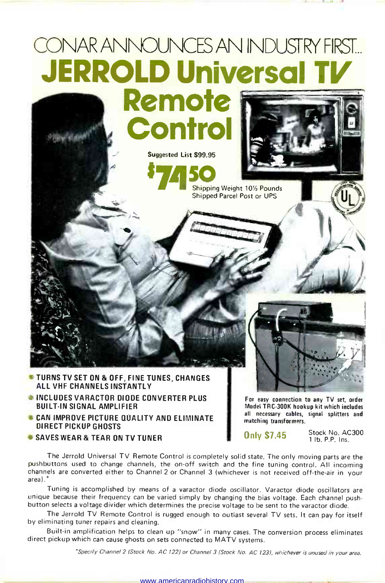## CONAR ANNOUNCES AN INDUSTRY FIRST... **JERROLD Universal** Remote

**Control** 

Suggested List \$99.95

 $\mathcal{I}$ 

**\$7450 FEB** 

Shipping Weight 101/2 Pounds Shipped Parcel Post or UPS



- INCLUDES VARACTOR DIODE CONVERTER PLUS BUILT-IN SIGNAL AMPLIFIER
- **CAN IMPROVE PICTURE QUALITY AND ELIMINATE** DIRECT PICKUP GHOSTS
- **SAVES WEAR & TEAR ON TV TUNER**

For easy connection to any TV set, order Model TRC-300K hookup kit which includes all necessary cables, signal splitters and matching transformers.

**Only \$7.45** Stock No. AC300 <sup>1</sup>lb. P.P. Ins.

The Jerrold Universal TV Remote Control is completely solid state. The only moving parts are the pushbuttons used to change channels, the on -off switch and the fine tuning control. All incoming channels are converted either to Channel 2 or Channel 3 (whichever is not received off-the-air in your area).\*

Tuning is accomplished by means of a varactor diode oscillator. Varactor diode oscillators are<br>unique because their frequency can be varied simply by changing the bias voltage. Each channel push-<br>button selects a voltage d

The Jerrold TV Remote Control is rugged enough to outlast several TV sets. It can pay for itself by eliminating tuner repairs and cleaning.

Built-in amplification helps to clean up "snow" in many cases. The conversion process eliminates direct pickup which can cause ghosts on sets connected to MATV systems.

`Specify Channel 2 (Stock No. AC 122) or Channel 3 (Stock No. AC 123), whichever is unused in your area.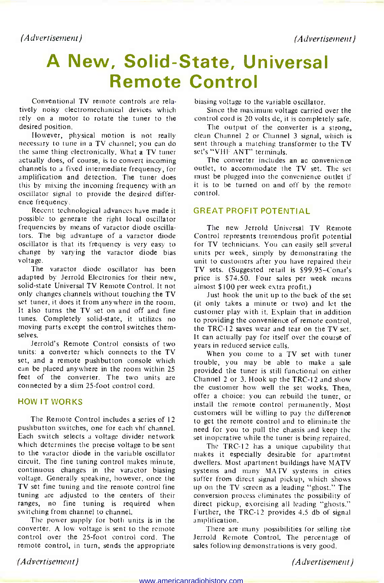(Advertisement) (Advertisement)

### A New, Solid-State, Universal Remote Control

Conventional TV remote controls are relatively noisy electromechanical devices which rely on a motor to rotate the tuner to the desired position.

necessary to tune in a TV channel; you can do the same thing electronically. What a TV tuner actually does, of course, is to convert incoming channels to a fixed intermediate frequency, for amplification and detection. The tuner does<br>this by mixing the incoming frequency with an oscillator signal to provide the desired differ-<br>ence frequency.

Recent technological advances have made it possible to generate the right local oscillator frequencies by means of varactor diode oscillators. The big advantage of a varactor diode oscillator is that its frequency is very easy to change by varying the varactor diode bias voltage.

The varactor diode oscillator has been adapted by Jerrold Electronics for their new, solid-state Universal TV Remote Control. It not only changes channels without touching the TV set tuner, it does it from anywhere in the room. It also turns the TV set on and off and fine<br>tunes. Completely solid-state, it utilizes no moving parts except the control switches themselves.

Jerrold's Remote Control consists of two units: a converter which connects to the TV set, and a remote pushbutton console which can be placed anywhere in the room within 25 feet of the converter. The two units are connected by a slim 25 -foot control cord.

#### HOW IT WORKS

The Remote Control includes a series of 12 pushbutton switches, one for each vhf channel. Each switch selects a voltage divider network which determines the precise voltage to be sent to the varactor diode in the variable oscillator circuit. The fine tuning control makes minute, continuous changes in the varactor biasing voltage. Generally speaking, however, once the TV set fine tuning and the remote control fine tuning are adjusted to the centers of their ranges, no fine tuning is required when switching from channel to channel.

The power supply for both units is in the converter. A low voltage is sent to the remote control over the 25 -foot control cord. The remote control, in turn, sends the appropriate

biasing voltage to the variable oscillator.

Since the maximum voltage carried over the control cord is 20 volts dc, it is completely safe.

However, physical motion is not really clean Channel 2 or Channel 3 signal, which is The output of the converter is a strong. sent through a matching transformer to the TV set's "VHF ANT" terminals.

The converter includes an ac convenience outlet, to accommodate the TV set. The set must be plugged into the convenience outlet if it is to be turned on and off by the remote control.

#### GREAT PROFIT POTENTIAL

The new Jerrold Universal TV Remote Control represents tremendous profit potential for TV technicians. You can easily sell several units per week, simply by demonstrating the unit to customers after you have repaired their TV sets. (Suggested retail is \$99.95-Conar's price is \$74.50. Four sales per week means almost \$100 per week extra profit.)

Just hook the unit up to the back of the set (it only takes a minute or two) and let the customer play with it. Explain that in addition to providing the convenience of remote control, the TRC-12 saves wear and tear on the TV set. It can actually pay for itself over the course of years in reduced service calls.

When you come to a TV set with tuner trouble, you may be able to make a sale provided the tuner is still functional on either Channel 2 or 3. Hook up the TRC-12 and show the customer how well the set works. Then, offer a choice: you can rebuild the tuner, or install the remote control permanently. Most customers will be willing to pay the difference to get the remote control and to eliminate the need for you to pull the chassis and keep the set inoperative while the tuner is being repaired.

The TRC-12 has a unique capability that makes it especially desirable for apartment dwellers. Most apartment buildings have MATV systems and many MATV systems in cities suffer from direct signal pickup, which shows up on the TV screen as a leading "ghost." The conversion process eliminates the possibility of direct pickup, exorcising all leading "ghosts." Further, the TRC-12 provides 4.5 db of signal amplification.

There are many possibilities for selling the Jerrold Remote Control. The percentage of sales following demonstrations is very good.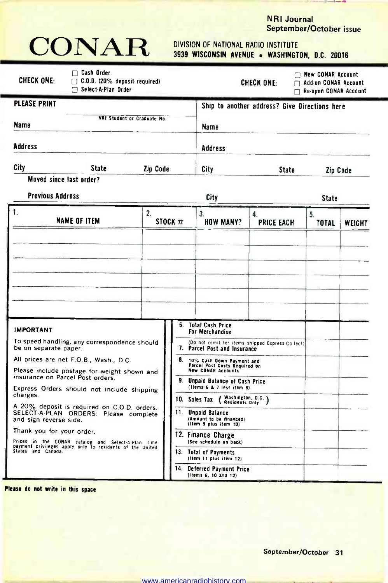### **NRI Journal**<br>September/October issue



### 3939 WISCONSIN AVENUE . WASHINGTON, D.C. 20016

| <b>CHECK ONE:</b>                                                                                                                                                                                                                                                                                                                                                                                                                                                                                                                                                                                                                                               | $\Box$ Cash Order<br>$\Box$ C.O.D. (20% deposit required)<br>Select-A-Plan Order |          |                                                                                                                                                                                                                                             |                                                    | <b>CHECK ONE:</b><br>п                        | $\Box$ New CONAR Account<br><b>Add-on CONAR Account</b><br><b>Re-open CONAR Account</b> |        |
|-----------------------------------------------------------------------------------------------------------------------------------------------------------------------------------------------------------------------------------------------------------------------------------------------------------------------------------------------------------------------------------------------------------------------------------------------------------------------------------------------------------------------------------------------------------------------------------------------------------------------------------------------------------------|----------------------------------------------------------------------------------|----------|---------------------------------------------------------------------------------------------------------------------------------------------------------------------------------------------------------------------------------------------|----------------------------------------------------|-----------------------------------------------|-----------------------------------------------------------------------------------------|--------|
| <b>PLEASE PRINT</b><br>Name                                                                                                                                                                                                                                                                                                                                                                                                                                                                                                                                                                                                                                     |                                                                                  |          |                                                                                                                                                                                                                                             | Name                                               | Ship to another address? Give Directions here |                                                                                         |        |
| Address                                                                                                                                                                                                                                                                                                                                                                                                                                                                                                                                                                                                                                                         |                                                                                  |          |                                                                                                                                                                                                                                             | <b>Address</b>                                     |                                               |                                                                                         |        |
| City                                                                                                                                                                                                                                                                                                                                                                                                                                                                                                                                                                                                                                                            | State                                                                            | Zip Code |                                                                                                                                                                                                                                             | City                                               | <b>State</b>                                  | Zip Code                                                                                |        |
|                                                                                                                                                                                                                                                                                                                                                                                                                                                                                                                                                                                                                                                                 |                                                                                  |          |                                                                                                                                                                                                                                             | City                                               |                                               | <b>State</b>                                                                            |        |
| 1.                                                                                                                                                                                                                                                                                                                                                                                                                                                                                                                                                                                                                                                              |                                                                                  | 2.       | STOCK #                                                                                                                                                                                                                                     | 3.<br><b>HOW MANY?</b>                             | 4.<br><b>PRICE EACH</b>                       | 5.<br>TOTAL                                                                             | WEIGHT |
| <b>IMPORTANT</b>                                                                                                                                                                                                                                                                                                                                                                                                                                                                                                                                                                                                                                                |                                                                                  |          | 6.                                                                                                                                                                                                                                          | Total Cash Price<br>For Merchandise                |                                               |                                                                                         |        |
| NRI Student or Graduate No.<br>Moved since last order?<br><b>Previous Address</b><br><b>NAME OF ITEM</b><br>To speed handling, any correspondence should<br>be on separate paper.<br>All prices are net F.O.B., Wash., D.C.<br>Please include postage for weight shown and<br>insurance on Parcel Post orders.<br>Express Orders should not include shipping<br>charges.<br>A 20% deposit is required on C.O.D. orders.<br>SELECT A PLAN ORDERS: Please complete<br>and sign reverse side.<br>Thank you for your order.<br>Prices in the CONAR catalog and Select-A-Plan time<br>payment privileges apply only to residents of the United<br>States and Canada. |                                                                                  | 8.       | (Do not remit for items shipped Express Collect)<br>7. Parcel Post and Insurance<br>10% Cash Down Payment and<br>Parcel Post Costs Required on<br><b>New CONAR Accounts</b><br>9. Unpaid Balance of Cash Price<br>(Items 6 & 7 less item 8) |                                                    |                                               |                                                                                         |        |
|                                                                                                                                                                                                                                                                                                                                                                                                                                                                                                                                                                                                                                                                 |                                                                                  |          | Washington, D.C. )<br>10. Sales Tax<br>Residents Dnly<br>11. Unpaid Balance<br>(Amount to be financed)<br>(Item 9 plus item 1D)<br>12. Finance Charge<br>(See schedule on back)<br>13. Total of Payments<br>(Item 11 plus item 12)          |                                                    |                                               |                                                                                         |        |
|                                                                                                                                                                                                                                                                                                                                                                                                                                                                                                                                                                                                                                                                 |                                                                                  |          |                                                                                                                                                                                                                                             | 14. Deferred Payment Price<br>(items 6, 10 and 12) |                                               |                                                                                         |        |

Please do not write in this space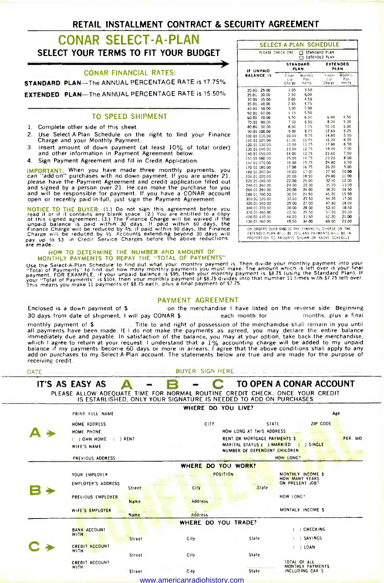#### RETAIL INSTALLMENT CONTRACT & SECURITY AGREEMENT

#### CONAR SELECT -A -PLAN SELECT YOUR TERMS TO FIT YOUR BUDGET

#### CONAR FINANCIAL RATES:

STANDARD PLAN-The ANNUAL PERCENTAGE RATE is 17.75%

EXTENDED PLAN-The ANNUAL PERCENTAGE RATE is 15.50%

#### TO SPEED SHIPMENT

- 1. Complete other side of this sheet.
- 2. Use Select A-Plan Schedule on the right to find your Finance Charge and your Monthly Payment.
- 3. Insert amount of down payment (at least 10% of total order)
- 4. Sign Payment Agreement and fill in Credit Application.

IMPORTANT: When you have made three monthly payments, you can "add-on" purchases with no down payment. If you are under 21, please have the Payment Agreement and credit application filled out<br>and signed by a person over 21. He can make the purchase for you<br>and will be responsible for payment. If you have a CONAR account<br>open or recently paid-in

NOTICE TO THE BUYER: (1.) Do not sign this agreement before you<br>read it or if it contains any blank space. (2.) You are entitled to a copy<br>of this signed agreement. (3.) The Finance Charge will be waived if the<br>unpaid blan

#### MONTHLY PAYMENTS TO REPAY THE "TOTAL OF PAYMENTS"

Use the Select-A-Plan-Schedule to find out what your monthly payment is. Then divide your monthly payment into your<br>"Total of Payments" to find out how many monthly payments you must make. The amount which is left over is

#### PAYMENT AGREEMENT

Enclosed is a down payment of \$ comes on the merchandise I have listed on the reverse side. Beginning<br>30 days from date of shipment, I will pay CONAR \$ comes comes each month for computing plus a final 30 days from date of shipment, I will pay CONAR \$ each month for months, plus a final

monthly payment of \$. [1] Title to and right of possession of the merchanidse shall remain in you until<br>all payments have been made. If I do not make the payments as agreed, you may declare the entire balance<br>immediately d receiving credit.

| DATE |                       |               | <b>BUYER SIGN HERE</b>                                                                                                                            |                 |                                                              |                                          |         |
|------|-----------------------|---------------|---------------------------------------------------------------------------------------------------------------------------------------------------|-----------------|--------------------------------------------------------------|------------------------------------------|---------|
|      | IT'S AS EASY AS       | $\mathbf{A}$  |                                                                                                                                                   |                 |                                                              | TO OPEN A CONAR ACCOUNT                  |         |
|      |                       |               | PLEASE ALLOW ADEQUATE TIME FOR NORMAL ROUTINE CREDIT CHECK. ONCE YOUR CREDIT<br>IS ESTABLISHED. ONLY YOUR SIGNATURE IS NEEDED TO ADD ON PURCHASES |                 |                                                              |                                          |         |
|      |                       |               | WHERE DO YOU LIVE?                                                                                                                                |                 |                                                              |                                          |         |
|      | PRINT FULL NAME       |               |                                                                                                                                                   |                 |                                                              |                                          | Age     |
|      | HOME ADDRESS          |               | <b>CITY</b>                                                                                                                                       |                 | STATE                                                        | ZIP CODE                                 |         |
|      | HOME PHONE            |               |                                                                                                                                                   |                 | HOW LONG AT THIS ADDRESS                                     |                                          |         |
|      | ( ) OWN HOME          | $( )$ RENT    |                                                                                                                                                   |                 | RENT OR MORTGAGE PAYMENTS \$                                 |                                          | PER MO. |
|      | WIFE'S NAME           |               |                                                                                                                                                   |                 | MARITAL STATUS ( ) MARRIED (<br>NUMBER OF DEPENDENT CHILDREN | <b>SINGLE</b>                            |         |
|      | PREVIOUS ADDRESS      |               |                                                                                                                                                   |                 |                                                              | HOW LONG?                                |         |
|      |                       |               | WHERE DO YOU WORK?                                                                                                                                |                 |                                                              |                                          |         |
|      | YOUR EMPLOYER         |               |                                                                                                                                                   | <b>POSITION</b> |                                                              | MONTHLY INCOME \$                        |         |
|      | EMPLOYER'S ADDRESS    |               |                                                                                                                                                   |                 |                                                              | <b>HOW MANY YEARS</b><br>ON PRESENT JOB? |         |
|      |                       | Street        | City                                                                                                                                              |                 | State                                                        |                                          |         |
|      | PREVIOUS EMPLOYER     |               |                                                                                                                                                   |                 |                                                              | HOW LONG?                                |         |
|      |                       | Name          | Address                                                                                                                                           |                 |                                                              |                                          |         |
|      | WIFE'S EMPLOYER       | Name          | corps as an<br><b>Address</b>                                                                                                                     |                 |                                                              | MONTHLY INCOME \$                        |         |
|      |                       |               | WHERE DO YOU TRADE?                                                                                                                               |                 |                                                              |                                          |         |
|      | <b>BANK ACCOUNT</b>   |               |                                                                                                                                                   |                 |                                                              | <b>CHECKING</b>                          |         |
|      | <b>WITH</b>           | <b>Street</b> | City                                                                                                                                              |                 | State                                                        | ) SAVINGS                                |         |
|      | <b>CREDIT ACCOUNT</b> |               |                                                                                                                                                   |                 |                                                              | ) LOAN                                   |         |
|      | WITH                  | Street        | City                                                                                                                                              |                 | State                                                        |                                          |         |
|      | CREDIT ACCOUNT        |               |                                                                                                                                                   |                 |                                                              | TOTAL OF ALL                             |         |
|      | WITH                  | Street        | City                                                                                                                                              |                 | <br>State                                                    | MONTHLY PAYMENTS<br>INCLUDING CAR \$     |         |
|      |                       |               | www.americanradiohistory.com                                                                                                                      |                 |                                                              |                                          |         |

| IF UNPAID         | <b>STANDARD</b><br>PLAN     |                          | <b>EXTENDED</b><br>PLAN  |                          |  |
|-------------------|-----------------------------|--------------------------|--------------------------|--------------------------|--|
| <b>BALANCE IS</b> | Finan-<br>$C1$ al<br>Charge | Monthly<br>Pay-<br>ments | Finan-<br>Cral<br>Charge | Monthly<br>Pay-<br>ments |  |
| $20.01 - 25.00$   | 1.05                        | 3.50                     |                          |                          |  |
| $25.01 - 30.00$   | 150                         | 4,00                     |                          |                          |  |
| 30.01 35 00       | 2.05                        | 4.50                     |                          |                          |  |
| $35.01 - 40.00$   | 2.65                        | 4.75                     |                          |                          |  |
| 40.01 - 50 00     | 3.00                        | 5.00                     |                          |                          |  |
| 50 01 - 60.00     | 4.15                        | 5.50                     |                          |                          |  |
| 60.01 - 70.00     | 5.50                        | 6.00                     | 6.40                     | 4.50                     |  |
| 70.01 80.00       | 7.00                        | 6 50                     | 8.00                     | 5.00                     |  |
| 80.01 90.00       | 8.00                        | 7.75                     | 10.10                    | 5.00                     |  |
| 90.01-100.00      | 9.00                        | 8.75                     | 12.60                    | 5.25                     |  |
| 100 01-110.00     | 10.00                       | 9.75                     | 14.80                    | 550                      |  |
| 110.01-120.00     | 11.00                       | 10.75                    | 16.20                    | 6.00                     |  |
| 120.01-130'00     | 12.00                       | 11.75                    | 17.60                    | 6.50                     |  |
| 130.01-140.00     | 13.00                       | 1275                     | 19.40                    | 7.00                     |  |
| 140.01-150.00     | 14.00                       | 13.75                    | 21.60                    | 7.50                     |  |
| 150 01-160 00     | 15.00                       | 14.75                    | 23.20                    | 8.00                     |  |
| 160.01-170.00     | 16.00                       | 15.75                    | 24 80                    | 8.50                     |  |
| 170 01-180.00     | 17.00                       | 16.75                    | 26 20                    | 9.00                     |  |
| 180.01-200.00     | 18.00                       | 17.00                    | 27.90                    | 10.00                    |  |
| 200.01-220.00     | 20.00                       | 18.50                    | 29.80                    | 1100                     |  |
| 220.01-240.00     | 22.00                       | 20.00                    | 32.40                    | 12.00                    |  |
| 240.01-260.00     | 24 00                       | 22 00                    | 35.20                    | 13.00                    |  |
| 260.01-280.00     | 26.00                       | 24 00                    | 38.20                    | 14.50                    |  |
| 280.01-300.00     | 30.00                       | 24.50                    | 41 20                    | 15.50                    |  |
| 300.01-320.00     | 32.00                       | 25.50                    | 44.20                    | 17.00                    |  |
| 320.01-340.00     | 35 00                       | 27.00                    | 47.80                    | 18 00                    |  |
| 340 01-370.00     | 38.00                       | 28.00                    | 52.40                    | 18.50                    |  |
| 370.01-400.00     | 42 00                       | 29.50                    | 57.20                    | 20.00                    |  |
| 400.01-430.00     | 46.00                       | 31.50                    | 62.20                    | 21.00                    |  |
| 430.01-460.00     | 49.50                       | 34.00                    | 69 00                    | 22.00                    |  |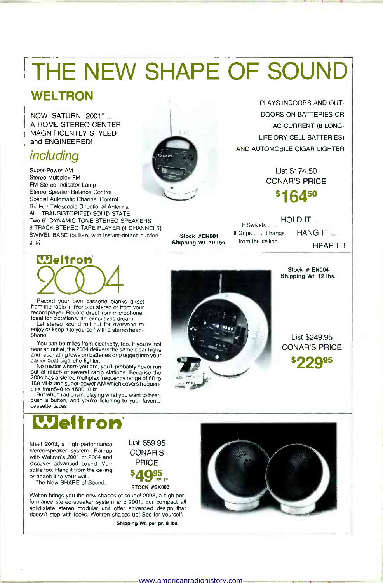# THE NEW SHAPE OF SOUND

#### **WELTRON**

NOW! SATURN "2001" ... A HOME STEREO CENTER MAGNIFICENTLY STYLED and ENGINEERED!

#### including

Super-Power AM<br>
Stereo Multiplex FM<br>
FM Stereo Indicator Lamp<br>
Stereo Speaker Balance Control<br>
Special Automatic Channel Control<br>
Built-on Telescopic Directional Antenna<br>
ALL TRANSISTORIZED SOLID STATE<br>
TWO 6" DYNAMIC-TONE SWIVEL BASE (built-in, with instant-detach suction grip)



Record your own cassette blanks direct<br>from the radio in mono or stereo or from your record player. Record direct from microphone.<br>Ideal for dictations, an executives dream.

Let stereo sound roll out for everyone to<br>enjoy or keep it to yourself with a stereo head-<br>phone.<br>You can be miles from electricity, too. If you're not<br>near an outlet, the 2004 delivers the same clear highs<br>and resonating

and issoluting lows on budget in purgeon into your<br>car or boat cigarette lighter.<br>No matter where you are, you'll probably never run<br>out of reach of several radio stations. Because the<br>2004 has a stereo multiplex frequency

push a button, and you're listening to your favorite cassette tapes.

# **Weltron**

Meet 2003, a high performance<br>stereo-speaker system. Pair-up<br>with Weltron's 2001 or 2004 and dscover advanced sound. Ver-<br>satile too. Hang it from the ceiling<br>or attach it to your wall.

The New SHAPE of Sound.

Welton brings you the new shapes of sound! 2003, a high per formance stereo-speaker system and 2001, our compact all solid-state stereo modular unit offer advanced design that doesn't stop with looks. Weltron shapes up! See for yourself.

Shipping Wt. per pr. 8 lbs.

List \$59.95 CONAR'S PRICE \$49<sub>85 pr.</sub> STOCK #SK003



List \$174.50 CONAR'S PRICE



Shipping Wt. 10 lbs. from the ceiling. HOLD IT ... It Swivels .. It Grips . . . It hangs HANG IT ...

HEAR IT!



Stock #EN001

Stock # EN004 Shipping Wt. 12 lbs.

List \$249.95 CONAR'S PRICE





www.americanradiohistory.com